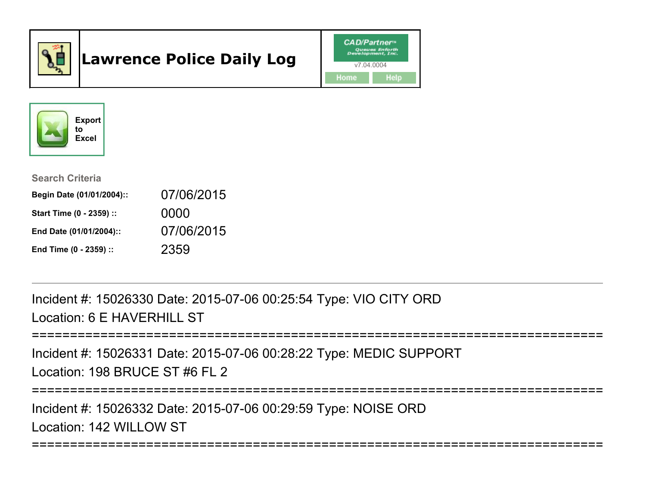

# Lawrence Police Daily Log





Search Criteria

| Begin Date (01/01/2004):: | 07/06/2015 |
|---------------------------|------------|
| Start Time (0 - 2359) ::  | 0000       |
| End Date (01/01/2004)::   | 07/06/2015 |
| End Time (0 - 2359) ::    | 2359       |

Incident #: 15026330 Date: 2015-07-06 00:25:54 Type: VIO CITY ORDLocation: 6 E HAVERHILL ST

```
===========================================================================
```
Incident #: 15026331 Date: 2015-07-06 00:28:22 Type: MEDIC SUPPORTLocation: 198 BRUCE ST #6 FL 2

===========================================================================

===========================================================================

Incident #: 15026332 Date: 2015-07-06 00:29:59 Type: NOISE ORDLocation: 142 WILLOW ST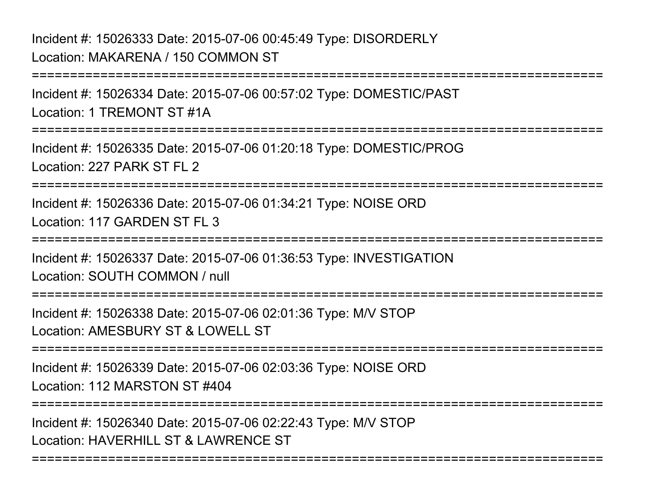Incident #: 15026333 Date: 2015-07-06 00:45:49 Type: DISORDERLYLocation: MAKARENA / 150 COMMON ST

Incident #: 15026334 Date: 2015-07-06 00:57:02 Type: DOMESTIC/PASTLocation: 1 TREMONT ST #1A

===========================================================================

===========================================================================

Incident #: 15026335 Date: 2015-07-06 01:20:18 Type: DOMESTIC/PROGLocation: 227 PARK ST FL 2

===========================================================================

Incident #: 15026336 Date: 2015-07-06 01:34:21 Type: NOISE ORDLocation: 117 GARDEN ST FL 3

===========================================================================

Incident #: 15026337 Date: 2015-07-06 01:36:53 Type: INVESTIGATIONLocation: SOUTH COMMON / null

===========================================================================

Incident #: 15026338 Date: 2015-07-06 02:01:36 Type: M/V STOPLocation: AMESBURY ST & LOWELL ST

===========================================================================

Incident #: 15026339 Date: 2015-07-06 02:03:36 Type: NOISE ORDLocation: 112 MARSTON ST #404

===========================================================================

===========================================================================

Incident #: 15026340 Date: 2015-07-06 02:22:43 Type: M/V STOPLocation: HAVERHILL ST & LAWRENCE ST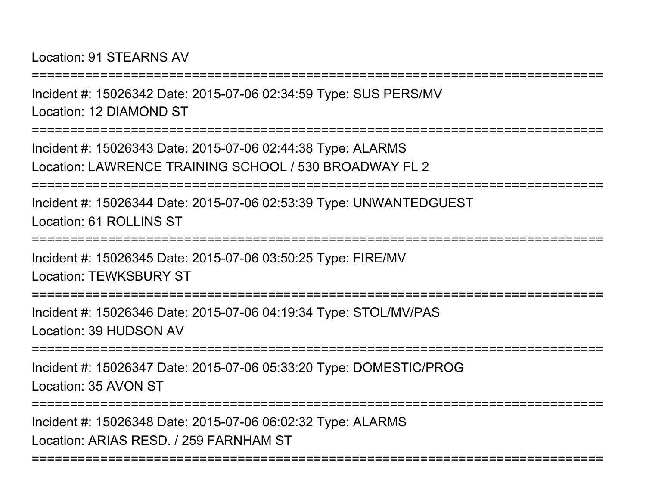Location: 91 STEARNS AV

===========================================================================Incident #: 15026342 Date: 2015-07-06 02:34:59 Type: SUS PERS/MVLocation: 12 DIAMOND ST===========================================================================Incident #: 15026343 Date: 2015-07-06 02:44:38 Type: ALARMS Location: LAWRENCE TRAINING SCHOOL / 530 BROADWAY FL 2===========================================================================Incident #: 15026344 Date: 2015-07-06 02:53:39 Type: UNWANTEDGUESTLocation: 61 ROLLINS ST ===========================================================================Incident #: 15026345 Date: 2015-07-06 03:50:25 Type: FIRE/MVLocation: TEWKSBURY ST===========================================================================Incident #: 15026346 Date: 2015-07-06 04:19:34 Type: STOL/MV/PASLocation: 39 HUDSON AV===========================================================================Incident #: 15026347 Date: 2015-07-06 05:33:20 Type: DOMESTIC/PROGLocation: 35 AVON ST===========================================================================Incident #: 15026348 Date: 2015-07-06 06:02:32 Type: ALARMSLocation: ARIAS RESD. / 259 FARNHAM ST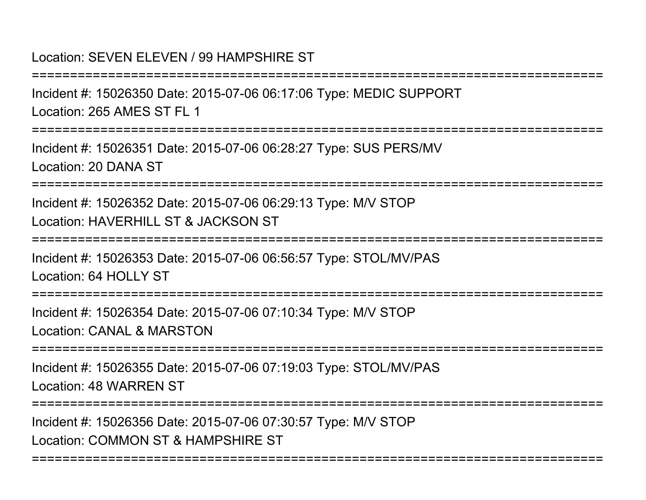#### Location: SEVEN ELEVEN / 99 HAMPSHIRE ST

===========================================================================Incident #: 15026350 Date: 2015-07-06 06:17:06 Type: MEDIC SUPPORTLocation: 265 AMES ST FL 1===========================================================================Incident #: 15026351 Date: 2015-07-06 06:28:27 Type: SUS PERS/MVLocation: 20 DANA ST===========================================================================Incident #: 15026352 Date: 2015-07-06 06:29:13 Type: M/V STOPLocation: HAVERHILL ST & JACKSON ST ===========================================================================Incident #: 15026353 Date: 2015-07-06 06:56:57 Type: STOL/MV/PASLocation: 64 HOLLY ST===========================================================================Incident #: 15026354 Date: 2015-07-06 07:10:34 Type: M/V STOPLocation: CANAL & MARSTON===========================================================================Incident #: 15026355 Date: 2015-07-06 07:19:03 Type: STOL/MV/PASLocation: 48 WARREN ST===========================================================================Incident #: 15026356 Date: 2015-07-06 07:30:57 Type: M/V STOPLocation: COMMON ST & HAMPSHIRE ST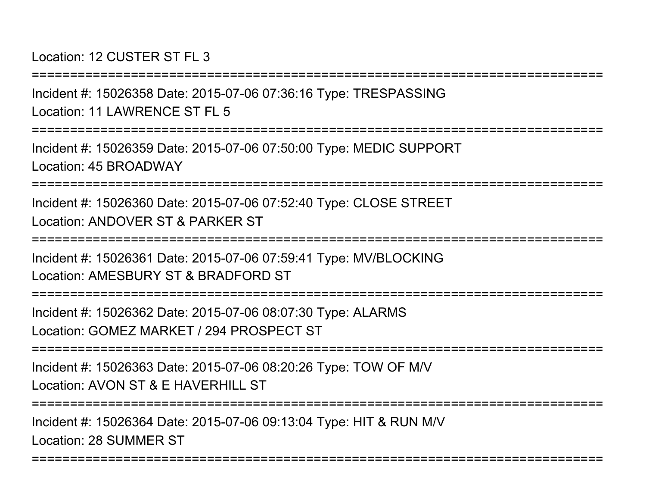Location: 12 CUSTER ST FL 3

Incident #: 15026358 Date: 2015-07-06 07:36:16 Type: TRESPASSINGLocation: 11 LAWRENCE ST FL 5

===========================================================================

===========================================================================

Incident #: 15026359 Date: 2015-07-06 07:50:00 Type: MEDIC SUPPORTLocation: 45 BROADWAY

===========================================================================

Incident #: 15026360 Date: 2015-07-06 07:52:40 Type: CLOSE STREETLocation: ANDOVER ST & PARKER ST

===========================================================================

Incident #: 15026361 Date: 2015-07-06 07:59:41 Type: MV/BLOCKINGLocation: AMESBURY ST & BRADFORD ST

===========================================================================

Incident #: 15026362 Date: 2015-07-06 08:07:30 Type: ALARMSLocation: GOMEZ MARKET / 294 PROSPECT ST

===========================================================================

Incident #: 15026363 Date: 2015-07-06 08:20:26 Type: TOW OF M/VLocation: AVON ST & F HAVERHILL ST

===========================================================================

===========================================================================

Incident #: 15026364 Date: 2015-07-06 09:13:04 Type: HIT & RUN M/VLocation: 28 SUMMER ST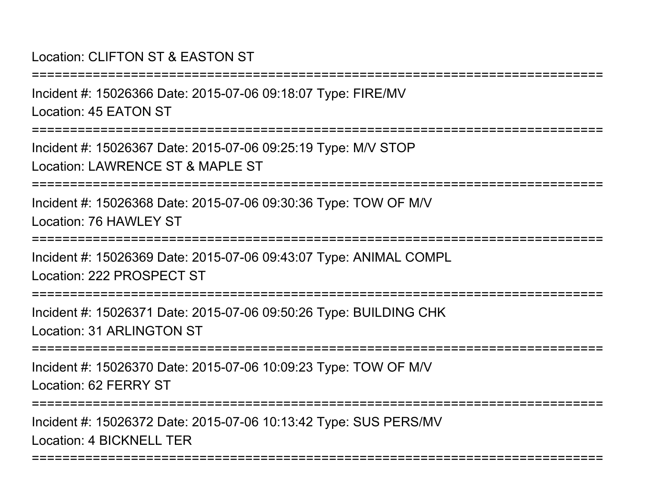## Location: CLIFTON ST & EASTON ST

| Incident #: 15026366 Date: 2015-07-06 09:18:07 Type: FIRE/MV<br>Location: 45 EATON ST                 |
|-------------------------------------------------------------------------------------------------------|
| Incident #: 15026367 Date: 2015-07-06 09:25:19 Type: M/V STOP<br>Location: LAWRENCE ST & MAPLE ST     |
| Incident #: 15026368 Date: 2015-07-06 09:30:36 Type: TOW OF M/V<br>Location: 76 HAWLEY ST             |
| Incident #: 15026369 Date: 2015-07-06 09:43:07 Type: ANIMAL COMPL<br>Location: 222 PROSPECT ST        |
| Incident #: 15026371 Date: 2015-07-06 09:50:26 Type: BUILDING CHK<br><b>Location: 31 ARLINGTON ST</b> |
| Incident #: 15026370 Date: 2015-07-06 10:09:23 Type: TOW OF M/V<br>Location: 62 FERRY ST              |
| Incident #: 15026372 Date: 2015-07-06 10:13:42 Type: SUS PERS/MV<br>Location: 4 BICKNELL TER          |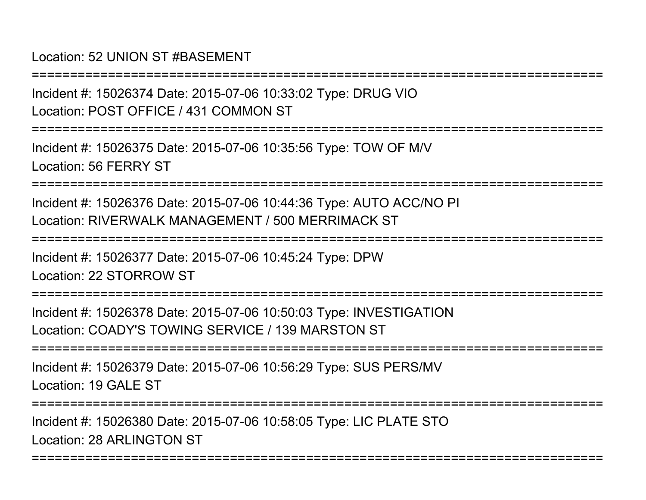#### Location: 52 UNION ST #BASEMENT

Incident #: 15026374 Date: 2015-07-06 10:33:02 Type: DRUG VIOLocation: POST OFFICE / 431 COMMON ST

===========================================================================

===========================================================================

Incident #: 15026375 Date: 2015-07-06 10:35:56 Type: TOW OF M/VLocation: 56 FERRY ST

===========================================================================

Incident #: 15026376 Date: 2015-07-06 10:44:36 Type: AUTO ACC/NO PILocation: RIVERWALK MANAGEMENT / 500 MERRIMACK ST

===========================================================================

Incident #: 15026377 Date: 2015-07-06 10:45:24 Type: DPWLocation: 22 STORROW ST

===========================================================================

Incident #: 15026378 Date: 2015-07-06 10:50:03 Type: INVESTIGATIONLocation: COADY'S TOWING SERVICE / 139 MARSTON ST

===========================================================================

Incident #: 15026379 Date: 2015-07-06 10:56:29 Type: SUS PERS/MVLocation: 19 GALE ST

===========================================================================

===========================================================================

Incident #: 15026380 Date: 2015-07-06 10:58:05 Type: LIC PLATE STOLocation: 28 ARLINGTON ST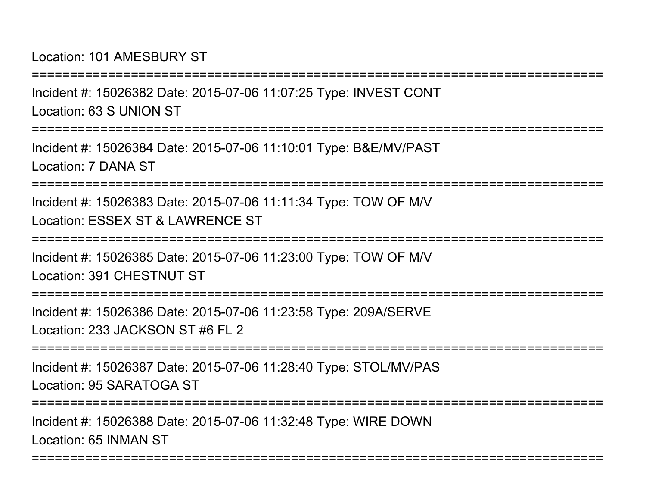Location: 101 AMESBURY ST

===========================================================================Incident #: 15026382 Date: 2015-07-06 11:07:25 Type: INVEST CONTLocation: 63 S UNION ST===========================================================================Incident #: 15026384 Date: 2015-07-06 11:10:01 Type: B&E/MV/PASTLocation: 7 DANA ST===========================================================================Incident #: 15026383 Date: 2015-07-06 11:11:34 Type: TOW OF M/VLocation: ESSEX ST & LAWRENCE ST===========================================================================Incident #: 15026385 Date: 2015-07-06 11:23:00 Type: TOW OF M/VLocation: 391 CHESTNUT ST===========================================================================Incident #: 15026386 Date: 2015-07-06 11:23:58 Type: 209A/SERVELocation: 233 JACKSON ST #6 FL 2===========================================================================Incident #: 15026387 Date: 2015-07-06 11:28:40 Type: STOL/MV/PASLocation: 95 SARATOGA ST===========================================================================Incident #: 15026388 Date: 2015-07-06 11:32:48 Type: WIRE DOWN

===========================================================================

Location: 65 INMAN ST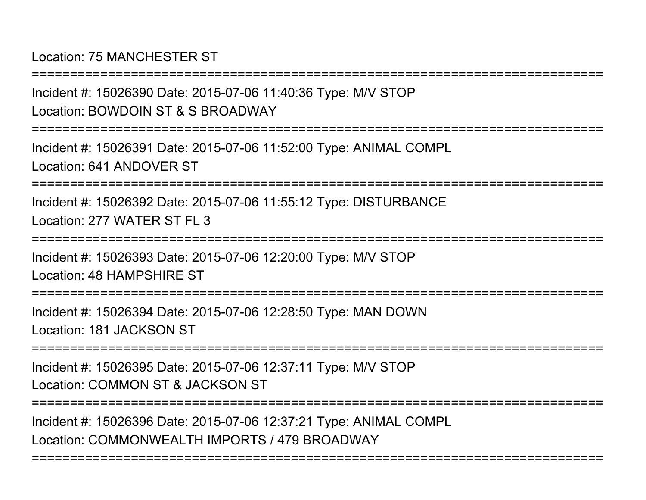Location: 75 MANCHESTER ST

Incident #: 15026390 Date: 2015-07-06 11:40:36 Type: M/V STOPLocation: BOWDOIN ST & S BROADWAY===========================================================================

Incident #: 15026391 Date: 2015-07-06 11:52:00 Type: ANIMAL COMPLLocation: 641 ANDOVER ST

===========================================================================

===========================================================================

Incident #: 15026392 Date: 2015-07-06 11:55:12 Type: DISTURBANCELocation: 277 WATER ST FL 3

===========================================================================

Incident #: 15026393 Date: 2015-07-06 12:20:00 Type: M/V STOPLocation: 48 HAMPSHIRE ST

===========================================================================

Incident #: 15026394 Date: 2015-07-06 12:28:50 Type: MAN DOWNLocation: 181 JACKSON ST

===========================================================================

Incident #: 15026395 Date: 2015-07-06 12:37:11 Type: M/V STOPLocation: COMMON ST & JACKSON ST

===========================================================================

===========================================================================

Incident #: 15026396 Date: 2015-07-06 12:37:21 Type: ANIMAL COMPLLocation: COMMONWEALTH IMPORTS / 479 BROADWAY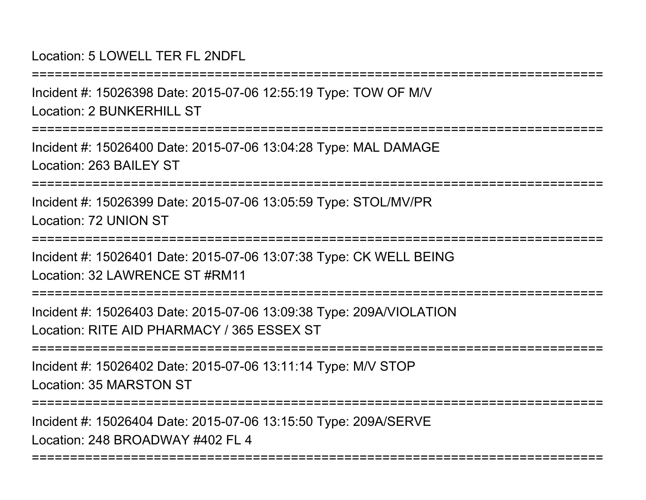### Location: 5 LOWELL TER FL 2NDFL

Incident #: 15026398 Date: 2015-07-06 12:55:19 Type: TOW OF M/VLocation: 2 BUNKERHILL ST

===========================================================================

===========================================================================

Incident #: 15026400 Date: 2015-07-06 13:04:28 Type: MAL DAMAGELocation: 263 BAILEY ST

===========================================================================

Incident #: 15026399 Date: 2015-07-06 13:05:59 Type: STOL/MV/PRLocation: 72 UNION ST

===========================================================================

Incident #: 15026401 Date: 2015-07-06 13:07:38 Type: CK WELL BEINGLocation: 32 LAWRENCE ST #RM11

===========================================================================

Incident #: 15026403 Date: 2015-07-06 13:09:38 Type: 209A/VIOLATIONLocation: RITE AID PHARMACY / 365 ESSEX ST

===========================================================================

Incident #: 15026402 Date: 2015-07-06 13:11:14 Type: M/V STOPLocation: 35 MARSTON ST

===========================================================================

===========================================================================

Incident #: 15026404 Date: 2015-07-06 13:15:50 Type: 209A/SERVE

Location: 248 BROADWAY #402 FL 4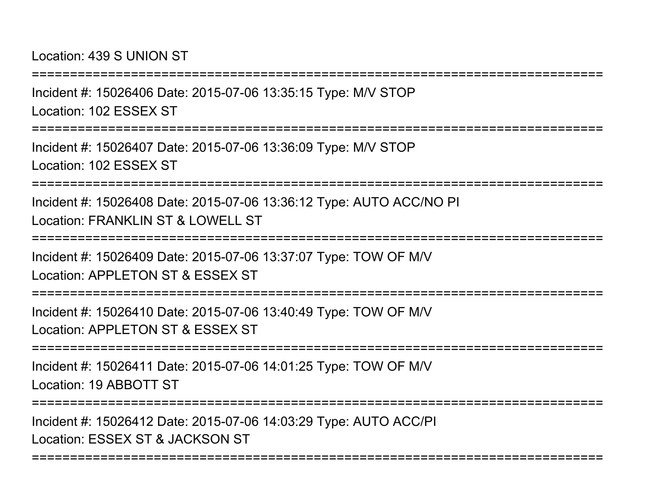Location: 439 S UNION ST

===========================================================================Incident #: 15026406 Date: 2015-07-06 13:35:15 Type: M/V STOPLocation: 102 ESSEX ST===========================================================================Incident #: 15026407 Date: 2015-07-06 13:36:09 Type: M/V STOPLocation: 102 ESSEX ST===========================================================================Incident #: 15026408 Date: 2015-07-06 13:36:12 Type: AUTO ACC/NO PILocation: FRANKLIN ST & LOWELL ST===========================================================================Incident #: 15026409 Date: 2015-07-06 13:37:07 Type: TOW OF M/VLocation: APPLETON ST & ESSEX ST===========================================================================

Incident #: 15026410 Date: 2015-07-06 13:40:49 Type: TOW OF M/VLocation: APPLETON ST & ESSEX ST

===========================================================================

Incident #: 15026411 Date: 2015-07-06 14:01:25 Type: TOW OF M/VLocation: 19 ABBOTT ST

===========================================================================

===========================================================================

Incident #: 15026412 Date: 2015-07-06 14:03:29 Type: AUTO ACC/PILocation: ESSEX ST & JACKSON ST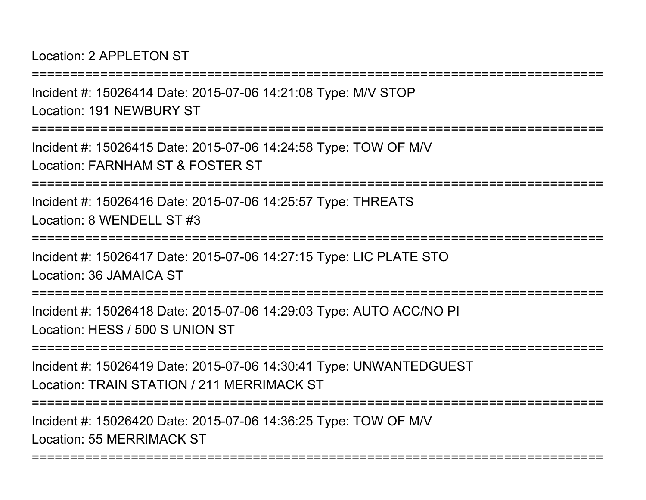Location: 2 APPL FTON ST

===========================================================================Incident #: 15026414 Date: 2015-07-06 14:21:08 Type: M/V STOPLocation: 191 NEWBURY ST===========================================================================Incident #: 15026415 Date: 2015-07-06 14:24:58 Type: TOW OF M/VLocation: FARNHAM ST & FOSTER ST===========================================================================Incident #: 15026416 Date: 2015-07-06 14:25:57 Type: THREATSLocation: 8 WENDELL ST #3===========================================================================Incident #: 15026417 Date: 2015-07-06 14:27:15 Type: LIC PLATE STOLocation: 36 JAMAICA ST===========================================================================Incident #: 15026418 Date: 2015-07-06 14:29:03 Type: AUTO ACC/NO PILocation: HESS / 500 S UNION ST

===========================================================================

Incident #: 15026419 Date: 2015-07-06 14:30:41 Type: UNWANTEDGUESTLocation: TRAIN STATION / 211 MERRIMACK ST

===========================================================================

===========================================================================

Incident #: 15026420 Date: 2015-07-06 14:36:25 Type: TOW OF M/VLocation: 55 MERRIMACK ST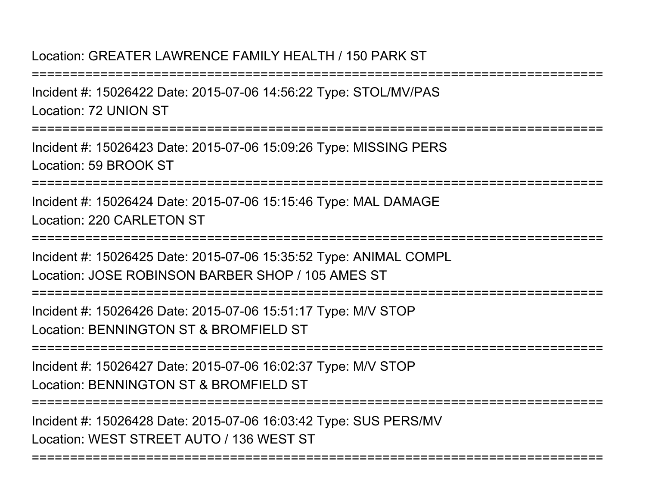#### Location: GREATER LAWRENCE FAMILY HEALTH / 150 PARK ST

===========================================================================Incident #: 15026422 Date: 2015-07-06 14:56:22 Type: STOL/MV/PASLocation: 72 UNION ST===========================================================================

Incident #: 15026423 Date: 2015-07-06 15:09:26 Type: MISSING PERSLocation: 59 BROOK ST

===========================================================================

Incident #: 15026424 Date: 2015-07-06 15:15:46 Type: MAL DAMAGELocation: 220 CARLETON ST

===========================================================================

Incident #: 15026425 Date: 2015-07-06 15:35:52 Type: ANIMAL COMPLLocation: JOSE ROBINSON BARBER SHOP / 105 AMES ST

===============

Incident #: 15026426 Date: 2015-07-06 15:51:17 Type: M/V STOPLocation: BENNINGTON ST & BROMFIELD ST

===========================================================================

Incident #: 15026427 Date: 2015-07-06 16:02:37 Type: M/V STOPLocation: BENNINGTON ST & BROMFIELD ST

===========================================================================

===========================================================================

Incident #: 15026428 Date: 2015-07-06 16:03:42 Type: SUS PERS/MVLocation: WEST STREET AUTO / 136 WEST ST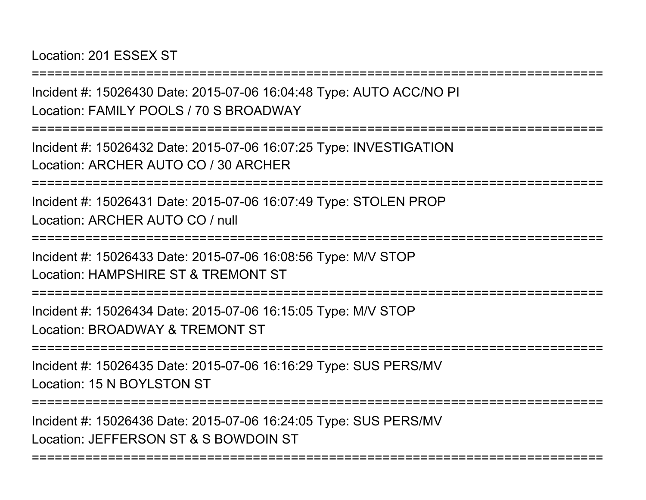Location: 201 ESSEX ST

Incident #: 15026430 Date: 2015-07-06 16:04:48 Type: AUTO ACC/NO PILocation: FAMILY POOLS / 70 S BROADWAY

===========================================================================

===========================================================================

Incident #: 15026432 Date: 2015-07-06 16:07:25 Type: INVESTIGATIONLocation: ARCHER AUTO CO / 30 ARCHER

===========================================================================

Incident #: 15026431 Date: 2015-07-06 16:07:49 Type: STOLEN PROPLocation: ARCHER AUTO CO / null

===========================================================================

Incident #: 15026433 Date: 2015-07-06 16:08:56 Type: M/V STOPLocation: HAMPSHIRE ST & TREMONT ST

===========================================================================

Incident #: 15026434 Date: 2015-07-06 16:15:05 Type: M/V STOPLocation: BROADWAY & TREMONT ST

===========================================================================

Incident #: 15026435 Date: 2015-07-06 16:16:29 Type: SUS PERS/MVLocation: 15 N BOYLSTON ST

===========================================================================

===========================================================================

Incident #: 15026436 Date: 2015-07-06 16:24:05 Type: SUS PERS/MVLocation: JEFFERSON ST & S BOWDOIN ST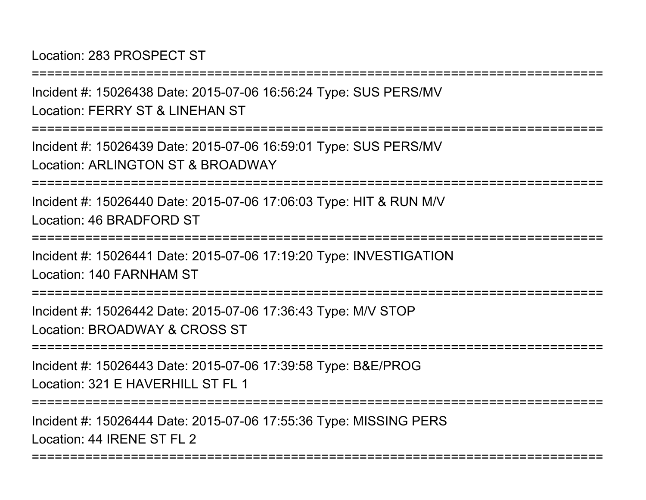Location: 283 PROSPECT ST

===========================================================================

Incident #: 15026438 Date: 2015-07-06 16:56:24 Type: SUS PERS/MVLocation: FERRY ST & LINEHAN ST

===========================================================================

Incident #: 15026439 Date: 2015-07-06 16:59:01 Type: SUS PERS/MVLocation: ARLINGTON ST & BROADWAY

===========================================================================

Incident #: 15026440 Date: 2015-07-06 17:06:03 Type: HIT & RUN M/VLocation: 46 BRADFORD ST

===========================================================================

Incident #: 15026441 Date: 2015-07-06 17:19:20 Type: INVESTIGATIONLocation: 140 FARNHAM ST

===============

Incident #: 15026442 Date: 2015-07-06 17:36:43 Type: M/V STOPLocation: BROADWAY & CROSS ST

===========================================================================

Incident #: 15026443 Date: 2015-07-06 17:39:58 Type: B&E/PROGLocation: 321 F HAVERHILL ST FL 1

===========================================================================

===========================================================================

Incident #: 15026444 Date: 2015-07-06 17:55:36 Type: MISSING PERSLocation: 44 IRENE ST FL 2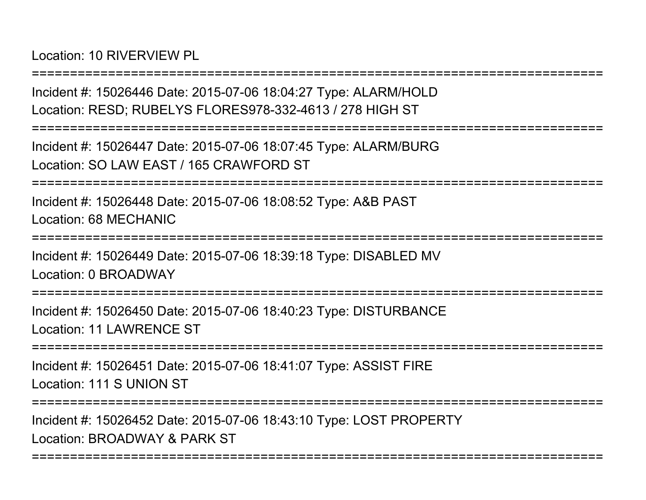Location: 10 RIVERVIEW PL

Incident #: 15026446 Date: 2015-07-06 18:04:27 Type: ALARM/HOLDLocation: RESD; RUBELYS FLORES978-332-4613 / 278 HIGH ST

===========================================================================

===========================================================================

Incident #: 15026447 Date: 2015-07-06 18:07:45 Type: ALARM/BURGLocation: SO LAW EAST / 165 CRAWFORD ST

===========================================================================

Incident #: 15026448 Date: 2015-07-06 18:08:52 Type: A&B PASTLocation: 68 MECHANIC

===========================================================================

Incident #: 15026449 Date: 2015-07-06 18:39:18 Type: DISABLED MVLocation: 0 BROADWAY

==================

Incident #: 15026450 Date: 2015-07-06 18:40:23 Type: DISTURBANCELocation: 11 LAWRENCE ST

===========================================================================

Incident #: 15026451 Date: 2015-07-06 18:41:07 Type: ASSIST FIRELocation: 111 S UNION ST

===========================================================================

===========================================================================

Incident #: 15026452 Date: 2015-07-06 18:43:10 Type: LOST PROPERTYLocation: BROADWAY & PARK ST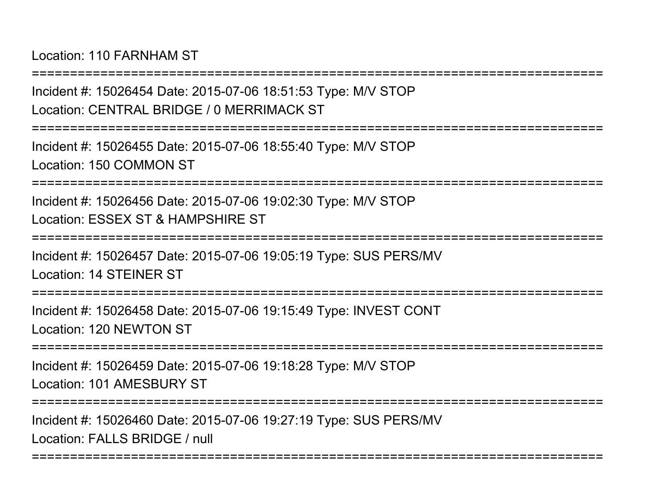Location: 110 FARNHAM ST

===========================================================================Incident #: 15026454 Date: 2015-07-06 18:51:53 Type: M/V STOPLocation: CENTRAL BRIDGE / 0 MERRIMACK ST===========================================================================Incident #: 15026455 Date: 2015-07-06 18:55:40 Type: M/V STOPLocation: 150 COMMON ST===========================================================================Incident #: 15026456 Date: 2015-07-06 19:02:30 Type: M/V STOPLocation: ESSEX ST & HAMPSHIRE ST===========================================================================Incident #: 15026457 Date: 2015-07-06 19:05:19 Type: SUS PERS/MVLocation: 14 STEINER ST===========================================================================Incident #: 15026458 Date: 2015-07-06 19:15:49 Type: INVEST CONTLocation: 120 NEWTON ST===========================================================================Incident #: 15026459 Date: 2015-07-06 19:18:28 Type: M/V STOPLocation: 101 AMESBURY ST===========================================================================Incident #: 15026460 Date: 2015-07-06 19:27:19 Type: SUS PERS/MVLocation: FALLS BRIDGE / null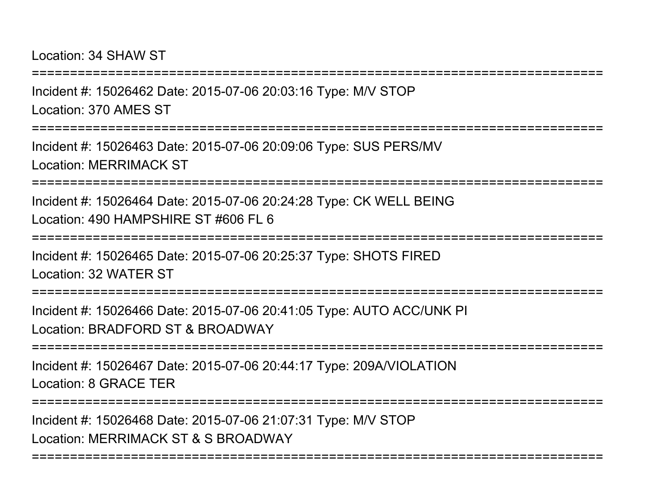Location: 34 SHAW ST

Incident #: 15026462 Date: 2015-07-06 20:03:16 Type: M/V STOPLocation: 370 AMES ST

===========================================================================

===========================================================================

Incident #: 15026463 Date: 2015-07-06 20:09:06 Type: SUS PERS/MVLocation: MERRIMACK ST

===========================================================================

Incident #: 15026464 Date: 2015-07-06 20:24:28 Type: CK WELL BEINGLocation: 490 HAMPSHIRF ST #606 FL 6

===========================================================================

Incident #: 15026465 Date: 2015-07-06 20:25:37 Type: SHOTS FIREDLocation: 32 WATER ST

**================** 

Incident #: 15026466 Date: 2015-07-06 20:41:05 Type: AUTO ACC/UNK PILocation: BRADFORD ST & BROADWAY

===========================================================================

Incident #: 15026467 Date: 2015-07-06 20:44:17 Type: 209A/VIOLATIONLocation: 8 GRACE TER

===========================================================================

===========================================================================

Incident #: 15026468 Date: 2015-07-06 21:07:31 Type: M/V STOPLocation: MERRIMACK ST & S BROADWAY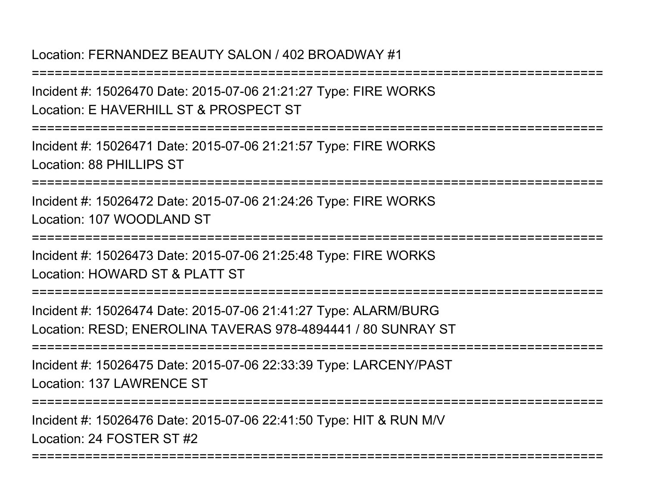#### Location: FERNANDEZ BEAUTY SALON / 402 BROADWAY #1

Incident #: 15026470 Date: 2015-07-06 21:21:27 Type: FIRE WORKSLocation: E HAVERHILL ST & PROSPECT ST

===========================================================================

===========================================================================

Incident #: 15026471 Date: 2015-07-06 21:21:57 Type: FIRE WORKSLocation: 88 PHILLIPS ST

===========================================================================

Incident #: 15026472 Date: 2015-07-06 21:24:26 Type: FIRE WORKSLocation: 107 WOODLAND ST

===========================================================================

Incident #: 15026473 Date: 2015-07-06 21:25:48 Type: FIRE WORKSLocation: HOWARD ST & PLATT ST

===========================================================================

Incident #: 15026474 Date: 2015-07-06 21:41:27 Type: ALARM/BURGLocation: RESD; ENEROLINA TAVERAS 978-4894441 / 80 SUNRAY ST

===========================================================================

Incident #: 15026475 Date: 2015-07-06 22:33:39 Type: LARCENY/PASTLocation: 137 LAWRENCE ST

===========================================================================

Incident #: 15026476 Date: 2015-07-06 22:41:50 Type: HIT & RUN M/VLocation: 24 FOSTER ST #2